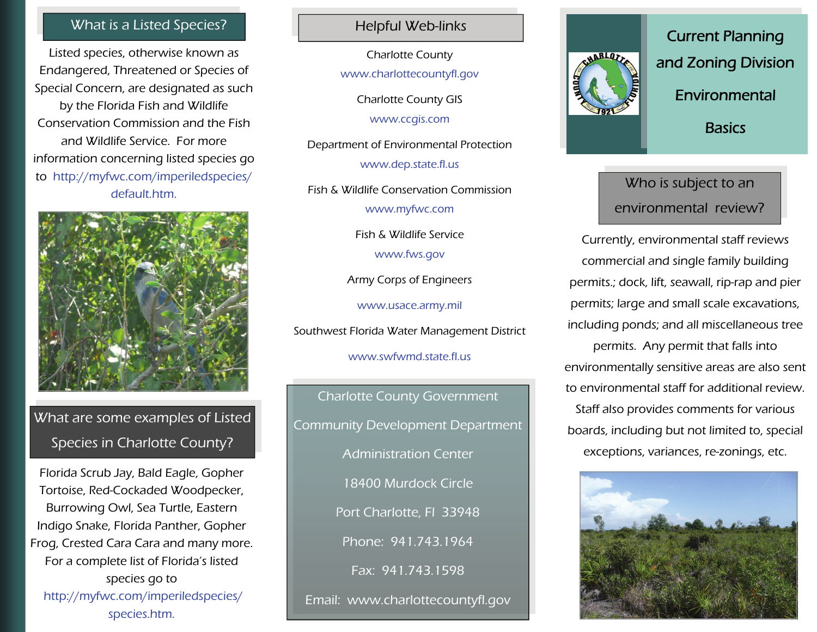#### What is a Listed Species? Network and Helpful Web-links

Listed species, otherwise known as Endangered, Threatened or Species of Special Concern, are designated as such by the Florida Fish and Wildlife Conservation Commission and the Fish and Wildlife Service. For more information concerning listed species go to http://myfwc.com/imperiledspecies/ default.htm.



## What are some examples of Listed Species in Charlotte County?

Florida Scrub Jay, Bald Eagle, Gopher Tortoise, Red-Cockaded Woodpecker, Burrowing Owl, Sea Turtle, Eastern Indigo Snake, Florida Panther, Gopher Frog, Crested Cara Cara and many more. For a complete list of Florida's listed species go to http://myfwc.com/imperiledspecies/ species.htm.

Charlotte County

www.charlottecountyfl.gov

Charlotte County GIS www.ccgis.com

Department of Environmental Protection www.dep.state.fl.us

Fish & Wildlife Conservation Commission

www.myfwc.com

Fish & Wildlife Service

www.fws.gov

Army Corps of Engineers

www.usace.army.mil

Southwest Florida Water Management District

www.swfwmd.state.fl.us

Charlotte County Government Community Development Department Administration Center 18400 Murdock Circle Port Charlotte, Fl 33948 Phone: 941.743.1964 Fax: 941.743.1598 Email: www.charlottecountyfl.gov



Current Planning and Zoning Division Environmental **Basics** 

### Who is subject to an environmental review?

Currently, environmental staff reviews commercial and single family building permits.; dock, lift, seawall, rip-rap and pier permits; large and small scale excavations, including ponds; and all miscellaneous tree permits. Any permit that falls into environmentally sensitive areas are also sent to environmental staff for additional review. Staff also provides comments for various boards, including but not limited to, special exceptions, variances, re-zonings, etc.